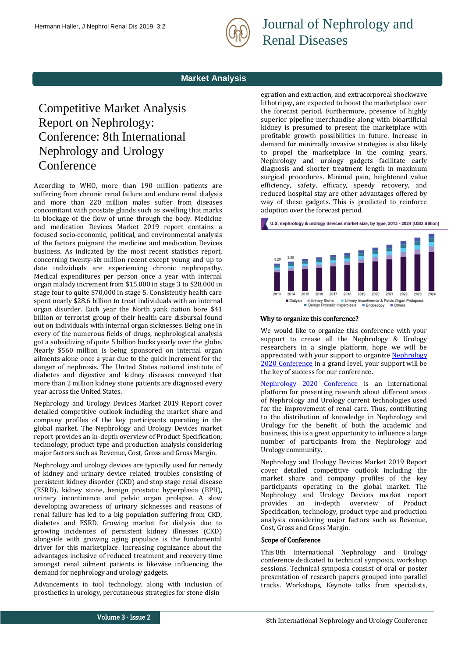

Journal of Nephrology and Renal Diseases

## **Market Analysis**

# Competitive Market Analysis Report on Nephrology: Conference: 8th International Nephrology and Urology Conference

According to WHO, more than 190 million patients are suffering from chronic renal failure and endure renal dialysis and more than 220 million males suffer from diseases concomitant with prostate glands such as swelling that marks in blockage of the flow of urine through the body. Medicine and medication Devices Market 2019 report contains a focused socio-economic, political, and environmental analysis of the factors poignant the medicine and medication Devices business. As indicated by the most recent statistics report, concerning twenty-six million recent except young and up to date individuals are experiencing chronic nephropathy. Medical expenditures per person once a year with internal organ malady increment from \$15,000 in stage 3 to \$28,000 in stage four to quite \$70,000 in stage 5. Consistently health care spent nearly \$28.6 billion to treat individuals with an internal organ disorder. Each year the North yank nation bore \$41 billion or terrorist group of their health care disbursal found out on individuals with internal organ sicknesses. Being one in every of the numerous fields of drugs, nephrological analysis got a subsidizing of quite 5 billion bucks yearly over the globe. Nearly \$560 million is being sponsored on internal organ ailments alone once a year due to the quick increment for the danger of nephrosis. The United States national institute of diabetes and digestive and kidney diseases conveyed that more than 2 million kidney stone patients are diagnosed every year across the United States.

Nephrology and Urology Devices Market 2019 Report cover detailed competitive outlook including the market share and company profiles of the key participants operating in the global market. The Nephrology and Urology Devices market report provides an in-depth overview of Product Specification, technology, product type and production analysis considering major factors such as Revenue, Cost, Gross and Gross Margin.

Nephrology and urology devices are typically used for remedy of kidney and urinary device related troubles consisting of persistent kidney disorder (CKD) and stop stage renal disease (ESRD), kidney stone, benign prostatic hyperplasia (BPH), urinary incontinence and pelvic organ prolapse. A slow developing awareness of urinary sicknesses and reasons of renal failure has led to a big population suffering from CKD, diabetes and ESRD. Growing market for dialysis due to growing incidences of persistent kidney illnesses (CKD) alongside with growing aging populace is the fundamental driver for this marketplace. Increasing cognizance about the advantages inclusive of reduced treatment and recovery time amongst renal ailment patients is likewise influencing the demand for nephrology and urology gadgets.

Advancements in tool technology, along with inclusion of prosthetics in urology, percutaneous strategies for stone disin

egration and extraction, and extracorporeal shockwave lithotripsy, are expected to boost the marketplace over the forecast period. Furthermore, presence of highly superior pipeline merchandise along with bioartificial kidney is presumed to present the marketplace with profitable growth possibilities in future. Increase in demand for minimally invasive strategies is also likely to propel the marketplace in the coming years. Nephrology and urology gadgets facilitate early diagnosis and shorter treatment length in maximum surgical procedures. Minimal pain, heightened value efficiency, safety, efficacy, speedy recovery, and reduced hospital stay are other advantages offered by way of these gadgets. This is predicted to reinforce adoption over the forecast period.



#### Why to organize this conference?

We would like to organize this conference with your support to crease all the Nephrology & Urology researchers in a single platform, hope we will be appreciated with your support to organize Nephrology [2020 Conference](https://www.meetingsint.com/conferences/urology-nephrology) in a grand level, your support will be the key of success for our conference.

[Nephrology 2020 Conference](https://www.meetingsint.com/conferences/urology-nephrology) is an international platform for presenting research about different areas of Nephrology and Urology current technologies used for the improvement of renal care. Thus, contributing to the distribution of knowledge in Nephrology and Urology for the benefit of both the academic and business, this is a great opportunity to influence a large number of participants from the Nephrology and Urology community.

Nephrology and Urology Devices Market 2019 Report cover detailed competitive outlook including the market share and company profiles of the key participants operating in the global market. The Nephrology and Urology Devices market report provides an in-depth overview of Product Specification, technology, product type and production analysis considering major factors such as Revenue, Cost, Gross and Gross Margin.

#### Scope of Conference

This [8th International Nephrology and Urology](https://www.meetingsint.com/conferences/urology-nephrology)  [conference](https://www.meetingsint.com/conferences/urology-nephrology) dedicated to technical symposia, workshop sessions. Technical symposia consist of oral or poster presentation of research papers grouped into parallel tracks. Workshops, Keynote talks from specialists,